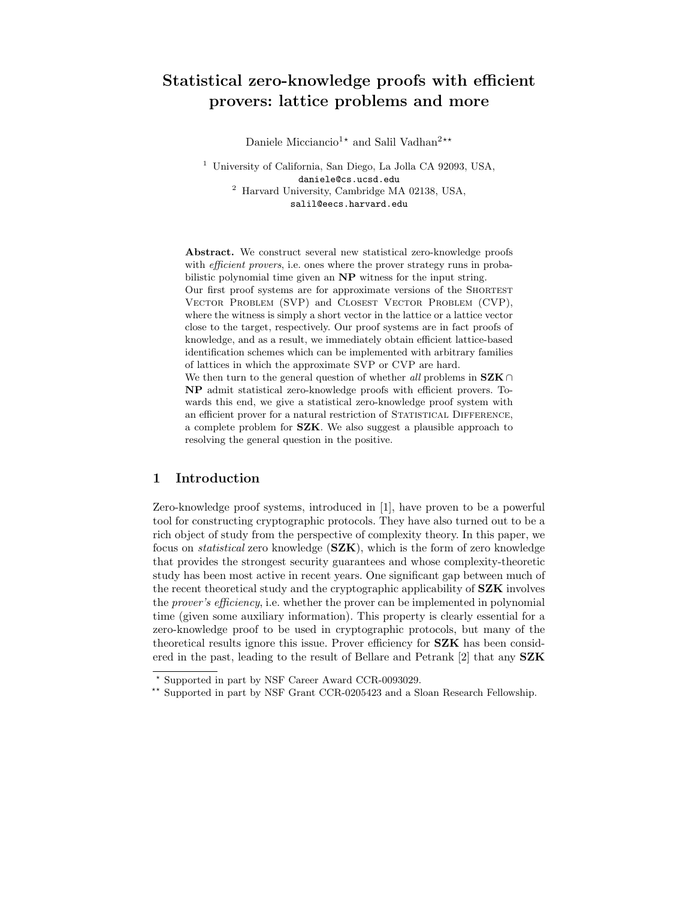# Statistical zero-knowledge proofs with efficient provers: lattice problems and more

Daniele Micciancio<sup>1\*</sup> and Salil Vadhan<sup>2\*\*</sup>

<sup>1</sup> University of California, San Diego, La Jolla CA 92093, USA, daniele@cs.ucsd.edu <sup>2</sup> Harvard University, Cambridge MA 02138, USA, salil@eecs.harvard.edu

Abstract. We construct several new statistical zero-knowledge proofs with *efficient provers*, i.e. ones where the prover strategy runs in probabilistic polynomial time given an NP witness for the input string. Our first proof systems are for approximate versions of the Shortest Vector Problem (SVP) and Closest Vector Problem (CVP), where the witness is simply a short vector in the lattice or a lattice vector close to the target, respectively. Our proof systems are in fact proofs of knowledge, and as a result, we immediately obtain efficient lattice-based identification schemes which can be implemented with arbitrary families of lattices in which the approximate SVP or CVP are hard. We then turn to the general question of whether all problems in  $SZK \cap$ 

NP admit statistical zero-knowledge proofs with efficient provers. Towards this end, we give a statistical zero-knowledge proof system with an efficient prover for a natural restriction of STATISTICAL DIFFERENCE, a complete problem for SZK. We also suggest a plausible approach to resolving the general question in the positive.

# 1 Introduction

Zero-knowledge proof systems, introduced in [1], have proven to be a powerful tool for constructing cryptographic protocols. They have also turned out to be a rich object of study from the perspective of complexity theory. In this paper, we focus on *statistical* zero knowledge  $(SZK)$ , which is the form of zero knowledge that provides the strongest security guarantees and whose complexity-theoretic study has been most active in recent years. One significant gap between much of the recent theoretical study and the cryptographic applicability of SZK involves the prover's efficiency, i.e. whether the prover can be implemented in polynomial time (given some auxiliary information). This property is clearly essential for a zero-knowledge proof to be used in cryptographic protocols, but many of the theoretical results ignore this issue. Prover efficiency for SZK has been considered in the past, leading to the result of Bellare and Petrank [2] that any SZK

<sup>?</sup> Supported in part by NSF Career Award CCR-0093029.

<sup>\*\*</sup> Supported in part by NSF Grant CCR-0205423 and a Sloan Research Fellowship.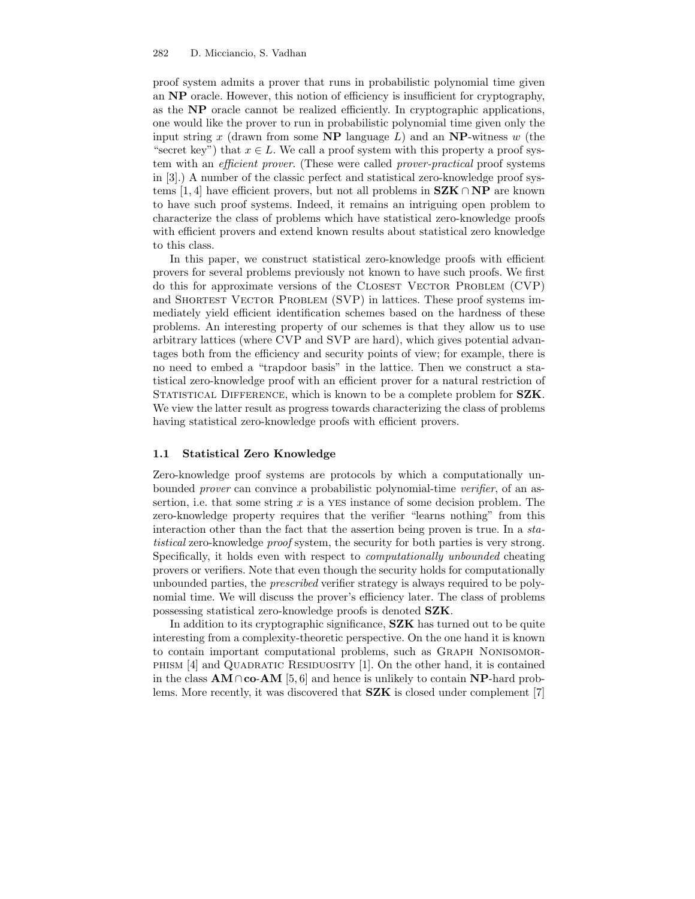proof system admits a prover that runs in probabilistic polynomial time given an NP oracle. However, this notion of efficiency is insufficient for cryptography, as the NP oracle cannot be realized efficiently. In cryptographic applications, one would like the prover to run in probabilistic polynomial time given only the input string x (drawn from some  $\bf NP$  language L) and an  $\bf NP$ -witness w (the "secret key") that  $x \in L$ . We call a proof system with this property a proof system with an *efficient prover*. (These were called *prover-practical* proof systems in [3].) A number of the classic perfect and statistical zero-knowledge proof systems [1, 4] have efficient provers, but not all problems in  $SZK \cap NP$  are known to have such proof systems. Indeed, it remains an intriguing open problem to characterize the class of problems which have statistical zero-knowledge proofs with efficient provers and extend known results about statistical zero knowledge to this class.

In this paper, we construct statistical zero-knowledge proofs with efficient provers for several problems previously not known to have such proofs. We first do this for approximate versions of the CLOSEST VECTOR PROBLEM (CVP) and SHORTEST VECTOR PROBLEM (SVP) in lattices. These proof systems immediately yield efficient identification schemes based on the hardness of these problems. An interesting property of our schemes is that they allow us to use arbitrary lattices (where CVP and SVP are hard), which gives potential advantages both from the efficiency and security points of view; for example, there is no need to embed a "trapdoor basis" in the lattice. Then we construct a statistical zero-knowledge proof with an efficient prover for a natural restriction of STATISTICAL DIFFERENCE, which is known to be a complete problem for **SZK**. We view the latter result as progress towards characterizing the class of problems having statistical zero-knowledge proofs with efficient provers.

#### 1.1 Statistical Zero Knowledge

Zero-knowledge proof systems are protocols by which a computationally unbounded *prover* can convince a probabilistic polynomial-time *verifier*, of an assertion, i.e. that some string  $x$  is a YES instance of some decision problem. The zero-knowledge property requires that the verifier "learns nothing" from this interaction other than the fact that the assertion being proven is true. In a statistical zero-knowledge proof system, the security for both parties is very strong. Specifically, it holds even with respect to computationally unbounded cheating provers or verifiers. Note that even though the security holds for computationally unbounded parties, the prescribed verifier strategy is always required to be polynomial time. We will discuss the prover's efficiency later. The class of problems possessing statistical zero-knowledge proofs is denoted SZK.

In addition to its cryptographic significance, SZK has turned out to be quite interesting from a complexity-theoretic perspective. On the one hand it is known to contain important computational problems, such as Graph Nonisomor-PHISM  $[4]$  and QUADRATIC RESIDUOSITY  $[1]$ . On the other hand, it is contained in the class  $AM \cap co-AM$  [5, 6] and hence is unlikely to contain NP-hard problems. More recently, it was discovered that **SZK** is closed under complement [7]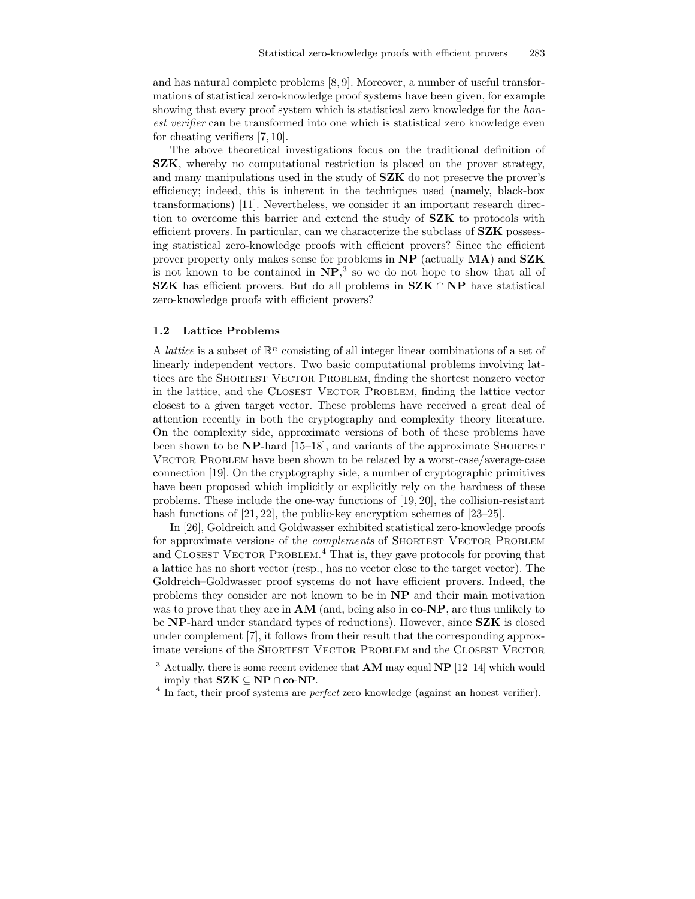and has natural complete problems [8, 9]. Moreover, a number of useful transformations of statistical zero-knowledge proof systems have been given, for example showing that every proof system which is statistical zero knowledge for the *hon*est verifier can be transformed into one which is statistical zero knowledge even for cheating verifiers [7, 10].

The above theoretical investigations focus on the traditional definition of SZK, whereby no computational restriction is placed on the prover strategy, and many manipulations used in the study of SZK do not preserve the prover's efficiency; indeed, this is inherent in the techniques used (namely, black-box transformations) [11]. Nevertheless, we consider it an important research direction to overcome this barrier and extend the study of SZK to protocols with efficient provers. In particular, can we characterize the subclass of SZK possessing statistical zero-knowledge proofs with efficient provers? Since the efficient prover property only makes sense for problems in NP (actually MA) and SZK is not known to be contained in  $NP$ <sup>3</sup>, so we do not hope to show that all of SZK has efficient provers. But do all problems in  $SZK \cap NP$  have statistical zero-knowledge proofs with efficient provers?

### 1.2 Lattice Problems

A *lattice* is a subset of  $\mathbb{R}^n$  consisting of all integer linear combinations of a set of linearly independent vectors. Two basic computational problems involving lattices are the SHORTEST VECTOR PROBLEM, finding the shortest nonzero vector in the lattice, and the CLOSEST VECTOR PROBLEM, finding the lattice vector closest to a given target vector. These problems have received a great deal of attention recently in both the cryptography and complexity theory literature. On the complexity side, approximate versions of both of these problems have been shown to be  $NP$ -hard [15–18], and variants of the approximate SHORTEST VECTOR PROBLEM have been shown to be related by a worst-case/average-case connection [19]. On the cryptography side, a number of cryptographic primitives have been proposed which implicitly or explicitly rely on the hardness of these problems. These include the one-way functions of [19, 20], the collision-resistant hash functions of [21, 22], the public-key encryption schemes of [23–25].

In [26], Goldreich and Goldwasser exhibited statistical zero-knowledge proofs for approximate versions of the *complements* of SHORTEST VECTOR PROBLEM and CLOSEST VECTOR PROBLEM.<sup>4</sup> That is, they gave protocols for proving that a lattice has no short vector (resp., has no vector close to the target vector). The Goldreich–Goldwasser proof systems do not have efficient provers. Indeed, the problems they consider are not known to be in NP and their main motivation was to prove that they are in  $AM$  (and, being also in  $co-NP$ , are thus unlikely to be NP-hard under standard types of reductions). However, since SZK is closed under complement [7], it follows from their result that the corresponding approximate versions of the SHORTEST VECTOR PROBLEM and the CLOSEST VECTOR

 $3$  Actually, there is some recent evidence that **AM** may equal **NP** [12–14] which would imply that  $SZK \subseteq NP \cap co-NP$ .

 $4$  In fact, their proof systems are *perfect* zero knowledge (against an honest verifier).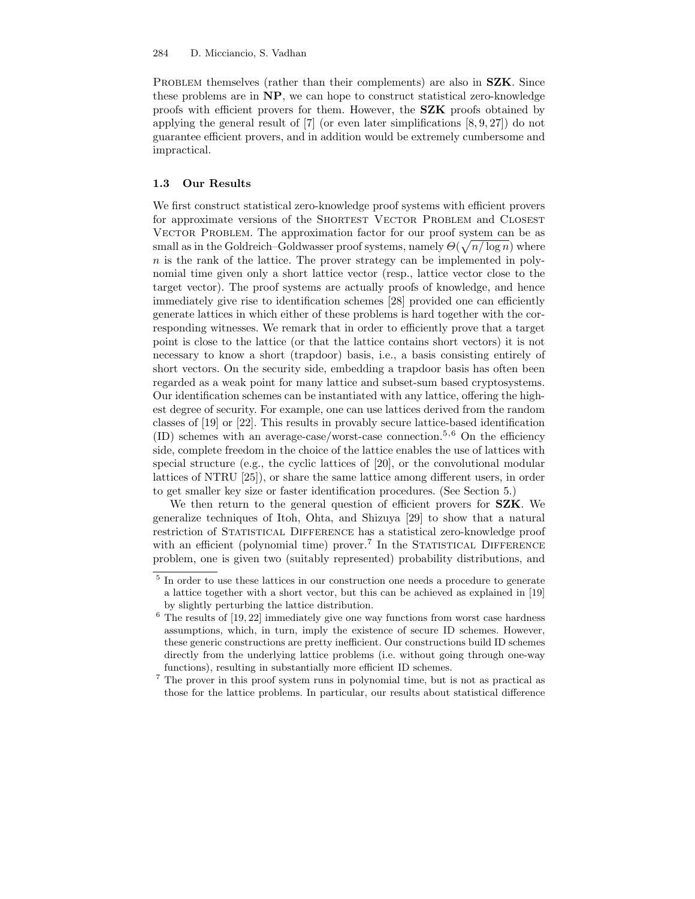PROBLEM themselves (rather than their complements) are also in **SZK**. Since these problems are in NP, we can hope to construct statistical zero-knowledge proofs with efficient provers for them. However, the SZK proofs obtained by applying the general result of [7] (or even later simplifications [8, 9, 27]) do not guarantee efficient provers, and in addition would be extremely cumbersome and impractical.

#### 1.3 Our Results

We first construct statistical zero-knowledge proof systems with efficient provers for approximate versions of the SHORTEST VECTOR PROBLEM and CLOSEST VECTOR PROBLEM. The approximation factor for our proof system can be as small as in the Goldreich–Goldwasser proof systems, namely  $\Theta(\sqrt{n/\log n})$  where  $n$  is the rank of the lattice. The prover strategy can be implemented in polynomial time given only a short lattice vector (resp., lattice vector close to the target vector). The proof systems are actually proofs of knowledge, and hence immediately give rise to identification schemes [28] provided one can efficiently generate lattices in which either of these problems is hard together with the corresponding witnesses. We remark that in order to efficiently prove that a target point is close to the lattice (or that the lattice contains short vectors) it is not necessary to know a short (trapdoor) basis, i.e., a basis consisting entirely of short vectors. On the security side, embedding a trapdoor basis has often been regarded as a weak point for many lattice and subset-sum based cryptosystems. Our identification schemes can be instantiated with any lattice, offering the highest degree of security. For example, one can use lattices derived from the random classes of [19] or [22]. This results in provably secure lattice-based identification  $(ID)$  schemes with an average-case/worst-case connection.<sup>5,6</sup> On the efficiency side, complete freedom in the choice of the lattice enables the use of lattices with special structure (e.g., the cyclic lattices of [20], or the convolutional modular lattices of NTRU [25]), or share the same lattice among different users, in order to get smaller key size or faster identification procedures. (See Section 5.)

We then return to the general question of efficient provers for **SZK**. We generalize techniques of Itoh, Ohta, and Shizuya [29] to show that a natural restriction of STATISTICAL DIFFERENCE has a statistical zero-knowledge proof with an efficient (polynomial time) prover.<sup>7</sup> In the STATISTICAL DIFFERENCE problem, one is given two (suitably represented) probability distributions, and

<sup>&</sup>lt;sup>5</sup> In order to use these lattices in our construction one needs a procedure to generate a lattice together with a short vector, but this can be achieved as explained in [19] by slightly perturbing the lattice distribution.

 $6$  The results of  $[19, 22]$  immediately give one way functions from worst case hardness assumptions, which, in turn, imply the existence of secure ID schemes. However, these generic constructions are pretty inefficient. Our constructions build ID schemes directly from the underlying lattice problems (i.e. without going through one-way functions), resulting in substantially more efficient ID schemes.

<sup>7</sup> The prover in this proof system runs in polynomial time, but is not as practical as those for the lattice problems. In particular, our results about statistical difference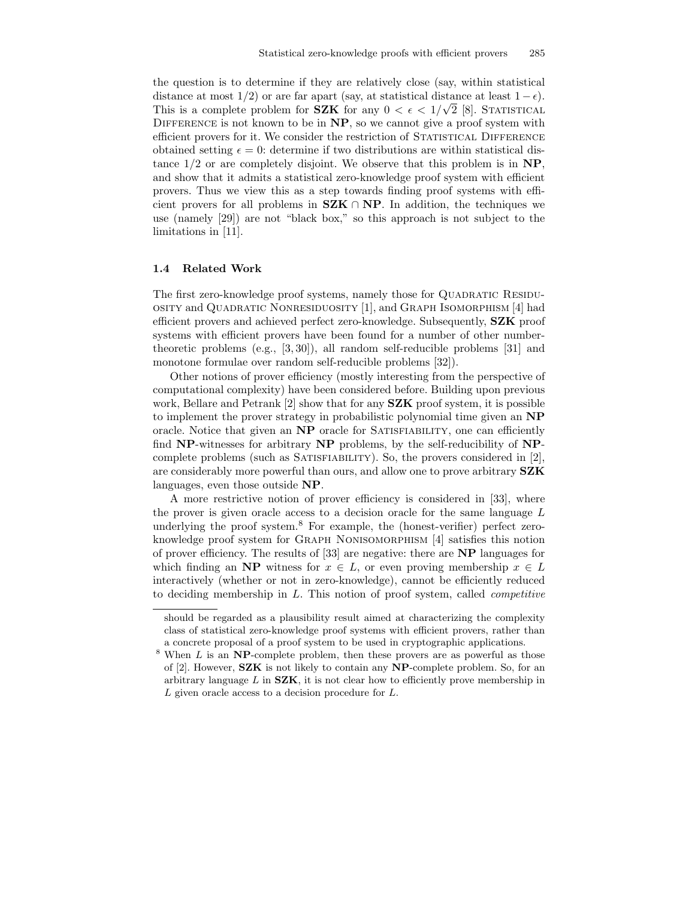the question is to determine if they are relatively close (say, within statistical distance at most  $1/2$ ) or are far apart (say, at statistical distance at least  $1 - \epsilon$ ). This is a complete problem for **SZK** for any  $0 < \epsilon < 1/\sqrt{2}$  [8]. STATISTICAL DIFFERENCE is not known to be in  $\mathbf{NP}$ , so we cannot give a proof system with efficient provers for it. We consider the restriction of STATISTICAL DIFFERENCE obtained setting  $\epsilon = 0$ : determine if two distributions are within statistical distance  $1/2$  or are completely disjoint. We observe that this problem is in  $NP$ , and show that it admits a statistical zero-knowledge proof system with efficient provers. Thus we view this as a step towards finding proof systems with efficient provers for all problems in  $SZK \cap NP$ . In addition, the techniques we use (namely [29]) are not "black box," so this approach is not subject to the limitations in [11].

### 1.4 Related Work

The first zero-knowledge proof systems, namely those for QUADRATIC RESIDUosity and Quadratic Nonresiduosity [1], and Graph Isomorphism [4] had efficient provers and achieved perfect zero-knowledge. Subsequently, SZK proof systems with efficient provers have been found for a number of other numbertheoretic problems (e.g., [3, 30]), all random self-reducible problems [31] and monotone formulae over random self-reducible problems [32]).

Other notions of prover efficiency (mostly interesting from the perspective of computational complexity) have been considered before. Building upon previous work, Bellare and Petrank  $[2]$  show that for any **SZK** proof system, it is possible to implement the prover strategy in probabilistic polynomial time given an NP oracle. Notice that given an NP oracle for SATISFIABILITY, one can efficiently find NP-witnesses for arbitrary NP problems, by the self-reducibility of NPcomplete problems (such as SATISFIABILITY). So, the provers considered in  $[2]$ , are considerably more powerful than ours, and allow one to prove arbitrary SZK languages, even those outside NP.

A more restrictive notion of prover efficiency is considered in [33], where the prover is given oracle access to a decision oracle for the same language L underlying the proof system.<sup>8</sup> For example, the (honest-verifier) perfect zeroknowledge proof system for Graph Nonisomorphism [4] satisfies this notion of prover efficiency. The results of [33] are negative: there are NP languages for which finding an NP witness for  $x \in L$ , or even proving membership  $x \in L$ interactively (whether or not in zero-knowledge), cannot be efficiently reduced to deciding membership in  $L$ . This notion of proof system, called *competitive* 

should be regarded as a plausibility result aimed at characterizing the complexity class of statistical zero-knowledge proof systems with efficient provers, rather than a concrete proposal of a proof system to be used in cryptographic applications.

 $8$  When L is an NP-complete problem, then these provers are as powerful as those of  $[2]$ . However, **SZK** is not likely to contain any **NP**-complete problem. So, for an arbitrary language  $L$  in  $SZK$ , it is not clear how to efficiently prove membership in  $L$  given oracle access to a decision procedure for  $L$ .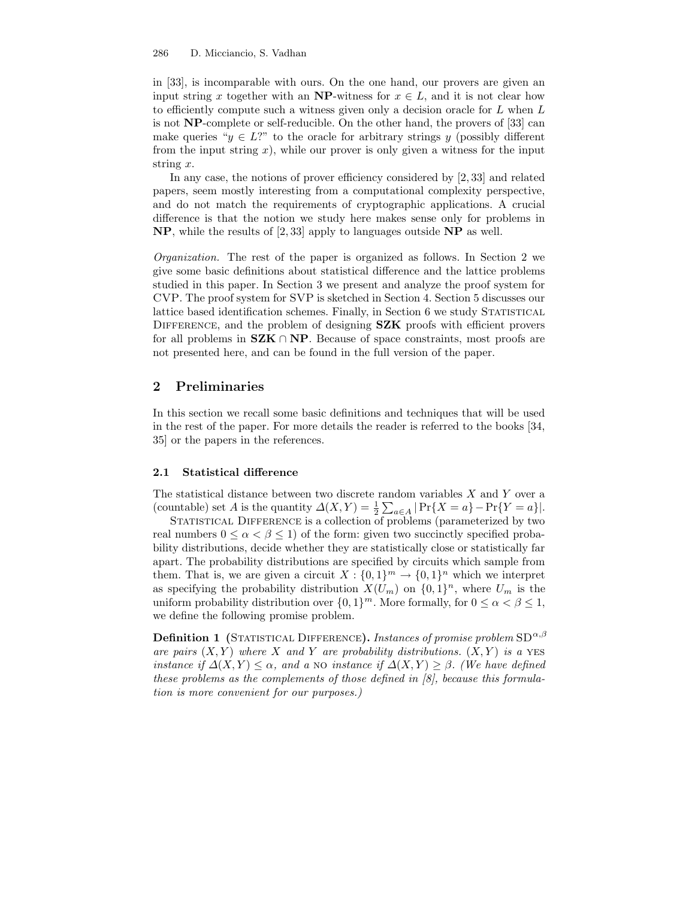in [33], is incomparable with ours. On the one hand, our provers are given an input string x together with an NP-witness for  $x \in L$ , and it is not clear how to efficiently compute such a witness given only a decision oracle for L when L is not NP-complete or self-reducible. On the other hand, the provers of [33] can make queries " $y \in L$ ?" to the oracle for arbitrary strings y (possibly different from the input string  $x$ ), while our prover is only given a witness for the input string x.

In any case, the notions of prover efficiency considered by [2, 33] and related papers, seem mostly interesting from a computational complexity perspective, and do not match the requirements of cryptographic applications. A crucial difference is that the notion we study here makes sense only for problems in NP, while the results of [2, 33] apply to languages outside NP as well.

Organization. The rest of the paper is organized as follows. In Section 2 we give some basic definitions about statistical difference and the lattice problems studied in this paper. In Section 3 we present and analyze the proof system for CVP. The proof system for SVP is sketched in Section 4. Section 5 discusses our lattice based identification schemes. Finally, in Section 6 we study STATISTICAL DIFFERENCE, and the problem of designing SZK proofs with efficient provers for all problems in  $SZK \cap NP$ . Because of space constraints, most proofs are not presented here, and can be found in the full version of the paper.

# 2 Preliminaries

In this section we recall some basic definitions and techniques that will be used in the rest of the paper. For more details the reader is referred to the books [34, 35] or the papers in the references.

#### 2.1 Statistical difference

The statistical distance between two discrete random variables  $X$  and  $Y$  over a (countable) set A is the quantity  $\Delta(X,Y) = \frac{1}{2} \sum_{a \in A} |\Pr\{X = a\} - \Pr\{Y = a\}|.$ 

STATISTICAL DIFFERENCE is a collection of problems (parameterized by two real numbers  $0 \leq \alpha < \beta \leq 1$  of the form: given two succinctly specified probability distributions, decide whether they are statistically close or statistically far apart. The probability distributions are specified by circuits which sample from them. That is, we are given a circuit  $X: \{0,1\}^m \to \{0,1\}^n$  which we interpret as specifying the probability distribution  $X(U_m)$  on  $\{0,1\}^n$ , where  $U_m$  is the uniform probability distribution over  $\{0, 1\}^m$ . More formally, for  $0 \le \alpha < \beta \le 1$ , we define the following promise problem.

**Definition 1** (STATISTICAL DIFFERENCE). Instances of promise problem  $SD^{\alpha,\beta}$ are pairs  $(X, Y)$  where X and Y are probability distributions.  $(X, Y)$  is a YES instance if  $\Delta(X, Y) \leq \alpha$ , and a NO instance if  $\Delta(X, Y) \geq \beta$ . (We have defined these problems as the complements of those defined in [8], because this formulation is more convenient for our purposes.)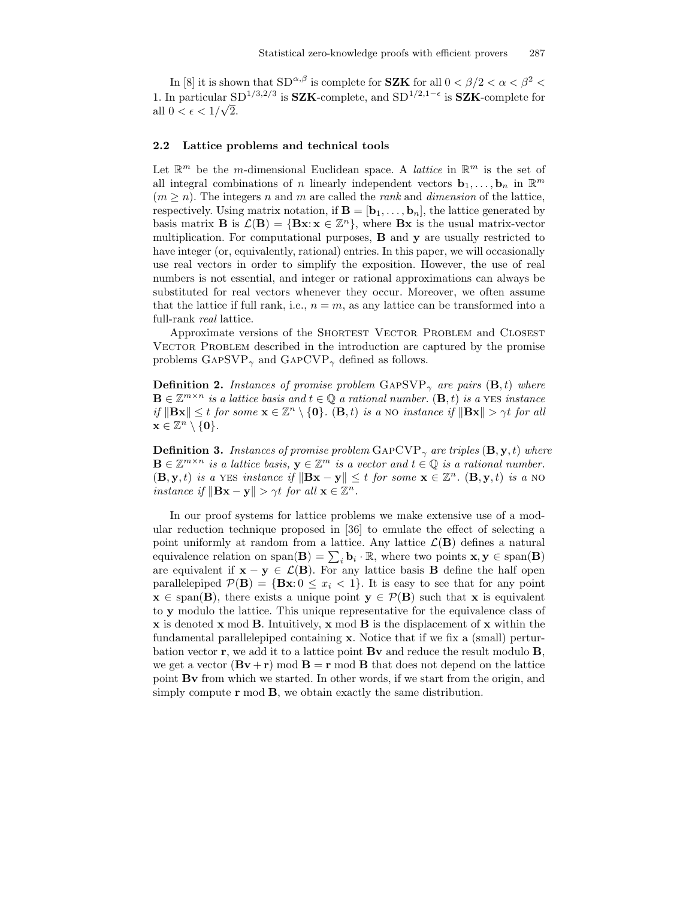In [8] it is shown that  $SD^{\alpha,\beta}$  is complete for **SZK** for all  $0 < \beta/2 < \alpha < \beta^2 <$ 1. In particular SD<sup>1/3,2/3</sup> is **SZK**-complete, and SD<sup>1/2,1- $\epsilon$ </sup> is **SZK**-complete for all  $0 < \epsilon < 1/\sqrt{2}$ .

#### 2.2 Lattice problems and technical tools

Let  $\mathbb{R}^m$  be the *m*-dimensional Euclidean space. A *lattice* in  $\mathbb{R}^m$  is the set of all integral combinations of n linearly independent vectors  $\mathbf{b}_1, \ldots, \mathbf{b}_n$  in  $\mathbb{R}^m$  $(m \geq n)$ . The integers n and m are called the rank and dimension of the lattice, respectively. Using matrix notation, if  $\mathbf{B} = [\mathbf{b}_1, \dots, \mathbf{b}_n]$ , the lattice generated by basis matrix **B** is  $\mathcal{L}(\mathbf{B}) = {\mathbf{B}\mathbf{x} : \mathbf{x} \in \mathbb{Z}^n}$ , where **Bx** is the usual matrix-vector multiplication. For computational purposes, B and y are usually restricted to have integer (or, equivalently, rational) entries. In this paper, we will occasionally use real vectors in order to simplify the exposition. However, the use of real numbers is not essential, and integer or rational approximations can always be substituted for real vectors whenever they occur. Moreover, we often assume that the lattice if full rank, i.e.,  $n = m$ , as any lattice can be transformed into a full-rank real lattice.

Approximate versions of the SHORTEST VECTOR PROBLEM and CLOSEST VECTOR PROBLEM described in the introduction are captured by the promise problems  $\text{GAPSVP}_{\gamma}$  and  $\text{GAPCVP}_{\gamma}$  defined as follows.

**Definition 2.** Instances of promise problem  $\text{GAPSVP}_{\gamma}$  are pairs  $(\mathbf{B}, t)$  where  $\mathbf{B} \in \mathbb{Z}^{m \times n}$  is a lattice basis and  $t \in \mathbb{Q}$  a rational number.  $(\mathbf{B}, t)$  is a YES instance if  $\|\mathbf{Bx}\| \leq t$  for some  $\mathbf{x} \in \mathbb{Z}^n \setminus \{\mathbf{0}\}\)$ .  $(\mathbf{B}, t)$  is a no-instance if  $\|\mathbf{Bx}\| > \gamma t$  for all  $\mathbf{x} \in \mathbb{Z}^n \setminus \{\mathbf{0}\}.$ 

**Definition 3.** Instances of promise problem  $\text{GAPCVP}_{\gamma}$  are triples  $(\mathbf{B}, \mathbf{y}, t)$  where  $\mathbf{B} \in \mathbb{Z}^{m \times n}$  is a lattice basis,  $\mathbf{y} \in \mathbb{Z}^m$  is a vector and  $t \in \mathbb{Q}$  is a rational number.  $(\mathbf{B}, \mathbf{y}, t)$  is a YES instance if  $\|\mathbf{Bx} - \mathbf{y}\| \leq t$  for some  $\mathbf{x} \in \mathbb{Z}^n$ .  $(\mathbf{B}, \mathbf{y}, t)$  is a NO instance if  $\|\mathbf{Bx} - \mathbf{y}\| > \gamma t$  for all  $\mathbf{x} \in \mathbb{Z}^n$ .

In our proof systems for lattice problems we make extensive use of a modular reduction technique proposed in [36] to emulate the effect of selecting a point uniformly at random from a lattice. Any lattice  $\mathcal{L}(\mathbf{B})$  defines a natural equivalence relation on  $\text{span}(\mathbf{B}) = \sum_i \mathbf{b}_i \cdot \mathbb{R}$ , where two points  $\mathbf{x}, \mathbf{y} \in \text{span}(\mathbf{B})$ are equivalent if  $x - y \in \mathcal{L}(B)$ . For any lattice basis **B** define the half open parallelepiped  $\mathcal{P}(\mathbf{B}) = {\mathbf{B}}\mathbf{x}: 0 \leq x_i < 1$ . It is easy to see that for any point  $x \in span(B)$ , there exists a unique point  $y \in \mathcal{P}(B)$  such that x is equivalent to y modulo the lattice. This unique representative for the equivalence class of x is denoted x mod B. Intuitively, x mod B is the displacement of x within the fundamental parallelepiped containing x. Notice that if we fix a (small) perturbation vector  $\mathbf{r}$ , we add it to a lattice point  $\mathbf{B}\mathbf{v}$  and reduce the result modulo  $\mathbf{B}$ , we get a vector  $(\mathbf{B}\mathbf{v}+\mathbf{r}) \mod \mathbf{B} = \mathbf{r} \mod \mathbf{B}$  that does not depend on the lattice point Bv from which we started. In other words, if we start from the origin, and simply compute  $\mathbf r$  mod  $\mathbf B$ , we obtain exactly the same distribution.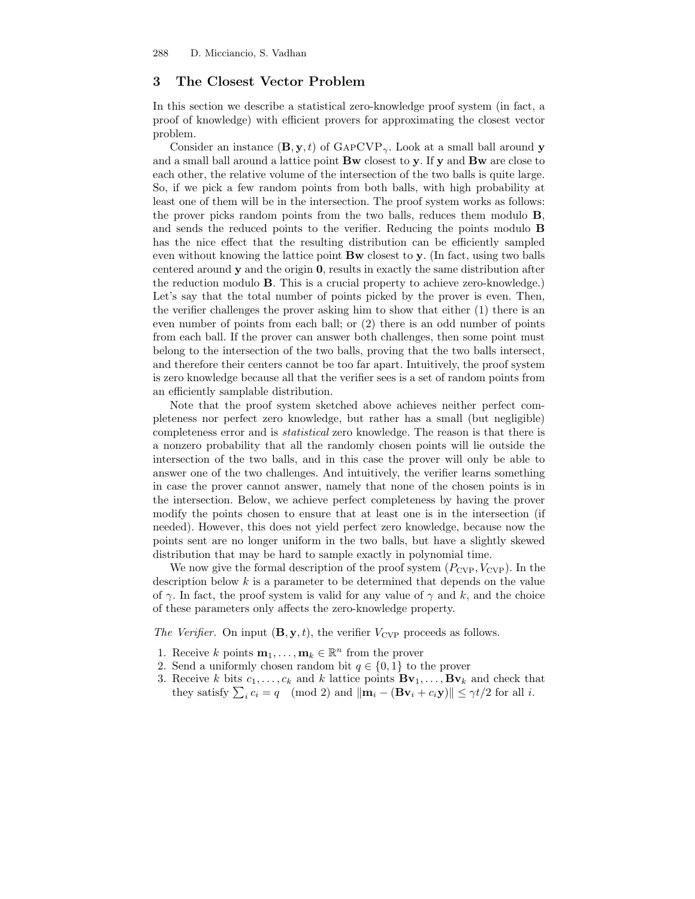# 3 The Closest Vector Problem

In this section we describe a statistical zero-knowledge proof system (in fact, a proof of knowledge) with efficient provers for approximating the closest vector problem.

Consider an instance  $(\mathbf{B}, \mathbf{y}, t)$  of  $\text{GAPCVP}_{\gamma}$ . Look at a small ball around y and a small ball around a lattice point Bw closest to y. If y and Bw are close to each other, the relative volume of the intersection of the two balls is quite large. So, if we pick a few random points from both balls, with high probability at least one of them will be in the intersection. The proof system works as follows: the prover picks random points from the two balls, reduces them modulo B, and sends the reduced points to the verifier. Reducing the points modulo B has the nice effect that the resulting distribution can be efficiently sampled even without knowing the lattice point Bw closest to y. (In fact, using two balls centered around  $\bf{y}$  and the origin  $\bf{0}$ , results in exactly the same distribution after the reduction modulo B. This is a crucial property to achieve zero-knowledge.) Let's say that the total number of points picked by the prover is even. Then, the verifier challenges the prover asking him to show that either (1) there is an even number of points from each ball; or (2) there is an odd number of points from each ball. If the prover can answer both challenges, then some point must belong to the intersection of the two balls, proving that the two balls intersect, and therefore their centers cannot be too far apart. Intuitively, the proof system is zero knowledge because all that the verifier sees is a set of random points from an efficiently samplable distribution.

Note that the proof system sketched above achieves neither perfect completeness nor perfect zero knowledge, but rather has a small (but negligible) completeness error and is statistical zero knowledge. The reason is that there is a nonzero probability that all the randomly chosen points will lie outside the intersection of the two balls, and in this case the prover will only be able to answer one of the two challenges. And intuitively, the verifier learns something in case the prover cannot answer, namely that none of the chosen points is in the intersection. Below, we achieve perfect completeness by having the prover modify the points chosen to ensure that at least one is in the intersection (if needed). However, this does not yield perfect zero knowledge, because now the points sent are no longer uniform in the two balls, but have a slightly skewed distribution that may be hard to sample exactly in polynomial time.

We now give the formal description of the proof system  $(P_{\text{CVP}}, V_{\text{CVP}})$ . In the description below  $k$  is a parameter to be determined that depends on the value of  $\gamma$ . In fact, the proof system is valid for any value of  $\gamma$  and k, and the choice of these parameters only affects the zero-knowledge property.

The Verifier. On input  $(\mathbf{B}, \mathbf{y}, t)$ , the verifier  $V_{\text{CVP}}$  proceeds as follows.

- 1. Receive k points  $\mathbf{m}_1, \ldots, \mathbf{m}_k \in \mathbb{R}^n$  from the prover
- 2. Send a uniformly chosen random bit  $q \in \{0, 1\}$  to the prover
- 3. Receive k bits  $c_1, \ldots, c_k$  and k lattice points  ${\bf B} {\bf v}_1, \ldots, {\bf B} {\bf v}_k$  and check that they satisfy  $\sum_i c_i = q \pmod{2}$  and  $\|\mathbf{m}_i - (\mathbf{B}\mathbf{v}_i + c_i \mathbf{y})\| \leq \gamma t/2$  for all *i*.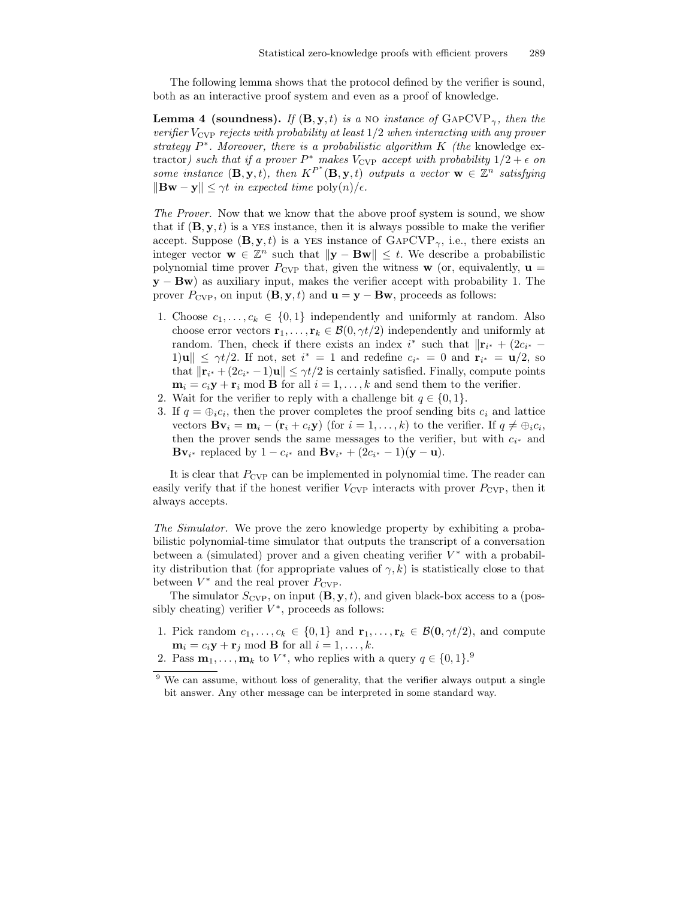The following lemma shows that the protocol defined by the verifier is sound, both as an interactive proof system and even as a proof of knowledge.

**Lemma 4 (soundness).** If  $(\mathbf{B}, \mathbf{y}, t)$  is a NO instance of  $\text{GAPCVP}_{\gamma}$ , then the verifier  $V_{\text{CVP}}$  rejects with probability at least  $1/2$  when interacting with any prover strategy  $P^*$ . Moreover, there is a probabilistic algorithm  $K$  (the knowledge extractor) such that if a prover  $P^*$  makes  $V_{\text{CVP}}$  accept with probability  $1/2 + \epsilon$  on some instance  $(\mathbf{B}, \mathbf{y}, t)$ , then  $K^{P^*}(\mathbf{B}, \mathbf{y}, t)$  outputs a vector  $\mathbf{w} \in \mathbb{Z}^n$  satisfying  $\|\mathbf{Bw} - \mathbf{y}\| \leq \gamma t$  in expected time  $\text{poly}(n)/\epsilon$ .

The Prover. Now that we know that the above proof system is sound, we show that if  $(\mathbf{B}, \mathbf{y}, t)$  is a YES instance, then it is always possible to make the verifier accept. Suppose  $(\mathbf{B}, \mathbf{y}, t)$  is a YES instance of  $\text{GAPCVP}_{\gamma}$ , i.e., there exists an integer vector  $\mathbf{w} \in \mathbb{Z}^n$  such that  $\|\mathbf{y} - \mathbf{B}\mathbf{w}\| \leq t$ . We describe a probabilistic polynomial time prover  $P_{\text{CVP}}$  that, given the witness **w** (or, equivalently,  $\mathbf{u} =$  $y - Bw$ ) as auxiliary input, makes the verifier accept with probability 1. The prover  $P_{\text{CVP}}$ , on input  $(\mathbf{B}, \mathbf{y}, t)$  and  $\mathbf{u} = \mathbf{y} - \mathbf{B}\mathbf{w}$ , proceeds as follows:

- 1. Choose  $c_1, \ldots, c_k \in \{0,1\}$  independently and uniformly at random. Also choose error vectors  $\mathbf{r}_1, \ldots, \mathbf{r}_k \in \mathcal{B}(0, \gamma t/2)$  independently and uniformly at random. Then, check if there exists an index  $i^*$  such that  $\|\mathbf{r}_{i^*} + (2c_{i^*} - \mathbf{r}_{i^*})\|$  $1)$ **u** $\|\leq \gamma t/2$ . If not, set  $i^* = 1$  and redefine  $c_{i^*} = 0$  and  $\mathbf{r}_{i^*} = \mathbf{u}/2$ , so that  $\|\mathbf{r}_{i^*} + (2c_{i^*} - 1)\mathbf{u}\| \leq \gamma t/2$  is certainly satisfied. Finally, compute points  $m_i = c_i y + r_i \mod B$  for all  $i = 1, ..., k$  and send them to the verifier.
- 2. Wait for the verifier to reply with a challenge bit  $q \in \{0, 1\}$ .
- 3. If  $q = \bigoplus_i c_i$ , then the prover completes the proof sending bits  $c_i$  and lattice vectors  $\mathbf{Bv}_i = \mathbf{m}_i - (\mathbf{r}_i + c_i \mathbf{y})$  (for  $i = 1, ..., k$ ) to the verifier. If  $q \neq \bigoplus_i c_i$ , then the prover sends the same messages to the verifier, but with  $c_{i^*}$  and  ${\bf B}{\bf v}_{i^*}$  replaced by  $1 - c_{i^*}$  and  ${\bf B}{\bf v}_{i^*} + (2c_{i^*} - 1)(y - u)$ .

It is clear that  $P_{\text{CVP}}$  can be implemented in polynomial time. The reader can easily verify that if the honest verifier  $V_{\text{CVP}}$  interacts with prover  $P_{\text{CVP}}$ , then it always accepts.

The Simulator. We prove the zero knowledge property by exhibiting a probabilistic polynomial-time simulator that outputs the transcript of a conversation between a (simulated) prover and a given cheating verifier  $V^*$  with a probability distribution that (for appropriate values of  $\gamma$ , k) is statistically close to that between  $V^*$  and the real prover  $P_{\text{CVP}}$ .

The simulator  $S_{\text{CVP}}$ , on input  $(\mathbf{B}, \mathbf{y}, t)$ , and given black-box access to a (possibly cheating) verifier  $V^*$ , proceeds as follows:

- 1. Pick random  $c_1, \ldots, c_k \in \{0,1\}$  and  $\mathbf{r}_1, \ldots, \mathbf{r}_k \in \mathcal{B}(\mathbf{0}, \gamma t/2)$ , and compute  $\mathbf{m}_i = c_i \mathbf{y} + \mathbf{r}_i \text{ mod } \mathbf{B}$  for all  $i = 1, \ldots, k$ .
- 2. Pass  $\mathbf{m}_1, \ldots, \mathbf{m}_k$  to  $V^*$ , who replies with a query  $q \in \{0, 1\}$ .

<sup>&</sup>lt;sup>9</sup> We can assume, without loss of generality, that the verifier always output a single bit answer. Any other message can be interpreted in some standard way.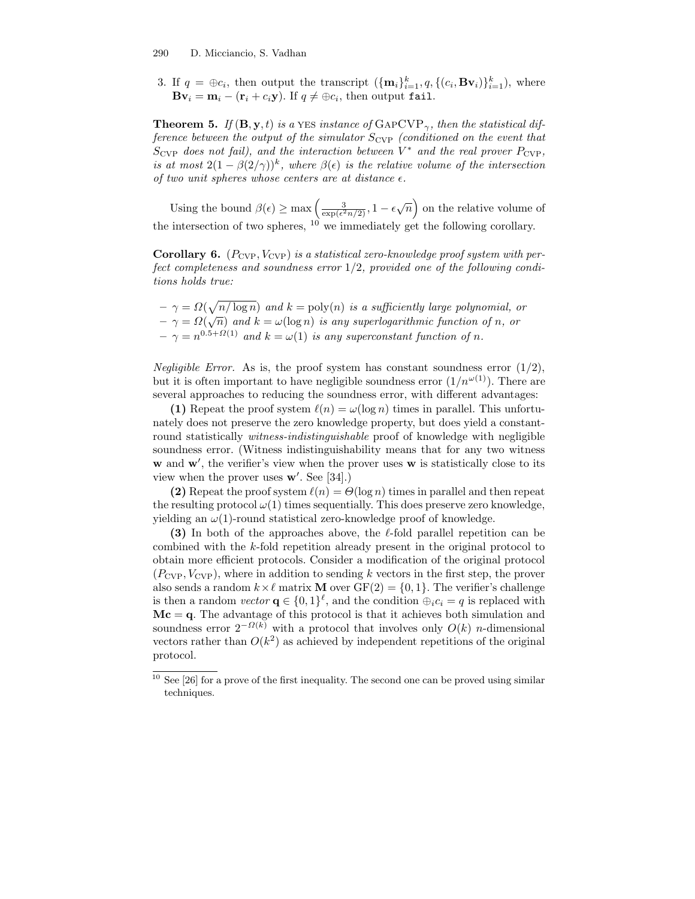3. If  $q = \bigoplus c_i$ , then output the transcript  $(\{\mathbf{m}_i\}_{i=1}^k, q, \{(c_i, \mathbf{Bv}_i)\}_{i=1}^k)$ , where  $\mathbf{B} \mathbf{v}_i = \mathbf{m}_i - (\mathbf{r}_i + c_i \mathbf{y}).$  If  $q \neq \oplus c_i$ , then output fail.

**Theorem 5.** If  $(\mathbf{B}, \mathbf{y}, t)$  is a YES instance of  $\text{GAPCVP}_{\gamma}$ , then the statistical difference between the output of the simulator  $S_{\text{CVP}}$  (conditioned on the event that  $S_{\mathrm{CVP}}$  does not fail), and the interaction between  $V^*$  and the real prover  $P_{\mathrm{CVP}},$ is at most  $2(1 - \beta(2/\gamma))^k$ , where  $\beta(\epsilon)$  is the relative volume of the intersection of two unit spheres whose centers are at distance  $\epsilon$ .

Using the bound  $\beta(\epsilon) \ge \max\left(\frac{3}{\exp(\epsilon^2 n/2)}, 1 - \epsilon \sqrt{n}\right)$  on the relative volume of the intersection of two spheres,  $10$  we immediately get the following corollary.

**Corollary 6.** ( $P_{\text{CVP}}$ ,  $V_{\text{CVP}}$ ) is a statistical zero-knowledge proof system with perfect completeness and soundness error  $1/2$ , provided one of the following conditions holds true:

 $-\gamma = \Omega(\sqrt{n/\log n})$  and  $k = \text{poly}(n)$  is a sufficiently large polynomial, or  $-\gamma = \Omega(\sqrt{n})$  and  $k = \omega(\log n)$  is any superlogarithmic function of n, or  $-\gamma = n^{0.5+\Omega(1)}$  and  $k = \omega(1)$  is any superconstant function of n.

Negligible Error. As is, the proof system has constant soundness error  $(1/2)$ , but it is often important to have negligible soundness error  $(1/n^{\omega(1)})$ . There are several approaches to reducing the soundness error, with different advantages:

(1) Repeat the proof system  $\ell(n) = \omega(\log n)$  times in parallel. This unfortunately does not preserve the zero knowledge property, but does yield a constantround statistically witness-indistinguishable proof of knowledge with negligible soundness error. (Witness indistinguishability means that for any two witness w and w', the verifier's view when the prover uses w is statistically close to its view when the prover uses  $\mathbf{w}'$ . See [34].)

(2) Repeat the proof system  $\ell(n) = \Theta(\log n)$  times in parallel and then repeat the resulting protocol  $\omega(1)$  times sequentially. This does preserve zero knowledge, yielding an  $\omega(1)$ -round statistical zero-knowledge proof of knowledge.

(3) In both of the approaches above, the  $\ell$ -fold parallel repetition can be combined with the k-fold repetition already present in the original protocol to obtain more efficient protocols. Consider a modification of the original protocol  $(P_{\text{CVP}}, V_{\text{CVP}})$ , where in addition to sending k vectors in the first step, the prover also sends a random  $k \times \ell$  matrix **M** over  $GF(2) = \{0, 1\}$ . The verifier's challenge is then a random vector  $\mathbf{q} \in \{0,1\}^{\ell}$ , and the condition  $\oplus_i c_i = q$  is replaced with  $Mc = q$ . The advantage of this protocol is that it achieves both simulation and soundness error  $2^{-\Omega(k)}$  with a protocol that involves only  $O(k)$  *n*-dimensional vectors rather than  $O(k^2)$  as achieved by independent repetitions of the original protocol.

 $10$  See [26] for a prove of the first inequality. The second one can be proved using similar techniques.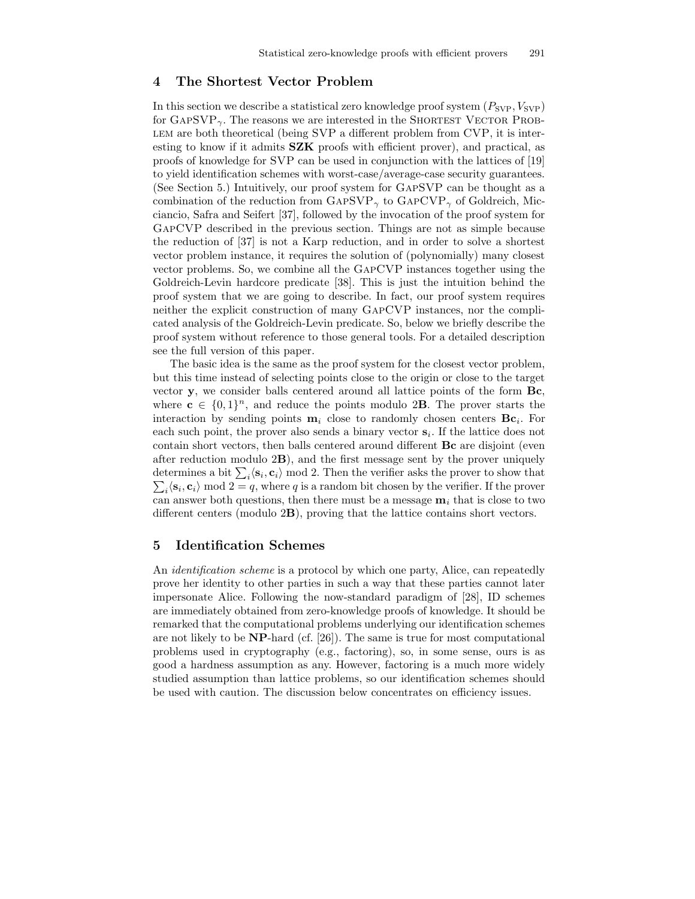# 4 The Shortest Vector Problem

In this section we describe a statistical zero knowledge proof system  $(P_{SVP}, V_{SVP})$ for  $GAPSVP_{\gamma}$ . The reasons we are interested in the SHORTEST VECTOR PROBlem are both theoretical (being SVP a different problem from CVP, it is interesting to know if it admits  $SZK$  proofs with efficient prover), and practical, as proofs of knowledge for SVP can be used in conjunction with the lattices of [19] to yield identification schemes with worst-case/average-case security guarantees. (See Section 5.) Intuitively, our proof system for GapSVP can be thought as a combination of the reduction from GAPSVP<sub> $\gamma$ </sub> to GAPCVP<sub> $\gamma$ </sub> of Goldreich, Micciancio, Safra and Seifert [37], followed by the invocation of the proof system for GapCVP described in the previous section. Things are not as simple because the reduction of [37] is not a Karp reduction, and in order to solve a shortest vector problem instance, it requires the solution of (polynomially) many closest vector problems. So, we combine all the GapCVP instances together using the Goldreich-Levin hardcore predicate [38]. This is just the intuition behind the proof system that we are going to describe. In fact, our proof system requires neither the explicit construction of many GapCVP instances, nor the complicated analysis of the Goldreich-Levin predicate. So, below we briefly describe the proof system without reference to those general tools. For a detailed description see the full version of this paper.

The basic idea is the same as the proof system for the closest vector problem, but this time instead of selecting points close to the origin or close to the target vector y, we consider balls centered around all lattice points of the form Bc, where  $c \in \{0,1\}^n$ , and reduce the points modulo 2**B**. The prover starts the interaction by sending points  $\mathbf{m}_i$  close to randomly chosen centers  $\mathbf{Bc}_i$ . For each such point, the prover also sends a binary vector  $s_i$ . If the lattice does not contain short vectors, then balls centered around different Bc are disjoint (even after reduction modulo 2B), and the first message sent by the prover uniquely determines a bit  $\sum_i \langle \mathbf{s}_i \rangle$ determines a bit  $\sum_i \langle \mathbf{s}_i, \mathbf{c}_i \rangle$  mod 2. Then the verifier asks the prover to show that  $\sum_i \langle \mathbf{s}_i, \mathbf{c}_i \rangle$  mod  $2 = q$ , where q is a random bit chosen by the verifier. If the prover can answer both questions, then there must be a message  $\mathbf{m}_i$  that is close to two different centers (modulo 2B), proving that the lattice contains short vectors.

# 5 Identification Schemes

An identification scheme is a protocol by which one party, Alice, can repeatedly prove her identity to other parties in such a way that these parties cannot later impersonate Alice. Following the now-standard paradigm of [28], ID schemes are immediately obtained from zero-knowledge proofs of knowledge. It should be remarked that the computational problems underlying our identification schemes are not likely to be  $NP$ -hard (cf. [26]). The same is true for most computational problems used in cryptography (e.g., factoring), so, in some sense, ours is as good a hardness assumption as any. However, factoring is a much more widely studied assumption than lattice problems, so our identification schemes should be used with caution. The discussion below concentrates on efficiency issues.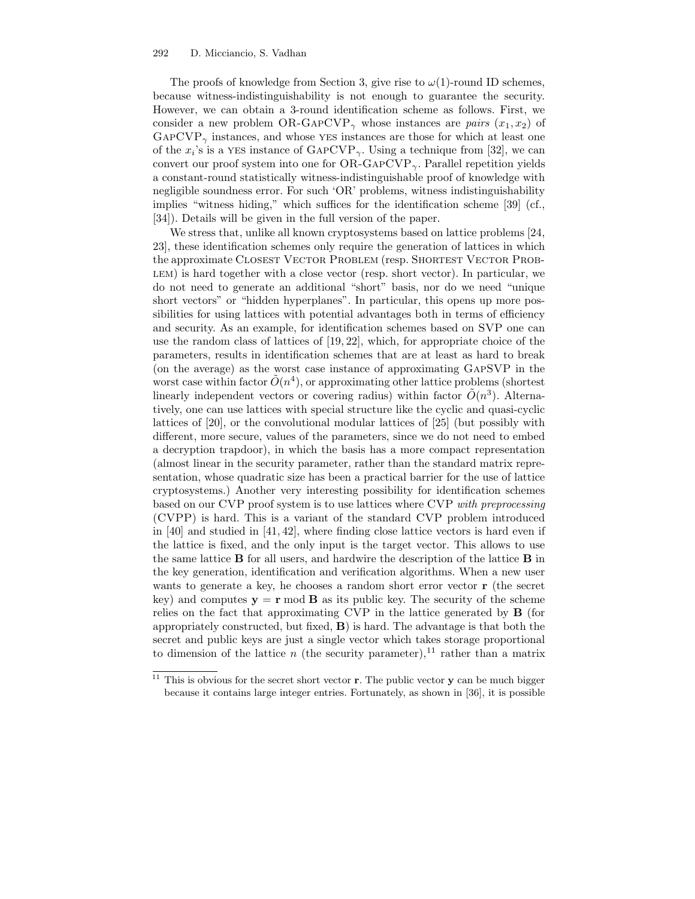The proofs of knowledge from Section 3, give rise to  $\omega(1)$ -round ID schemes, because witness-indistinguishability is not enough to guarantee the security. However, we can obtain a 3-round identification scheme as follows. First, we consider a new problem OR-GAPCVP<sub> $\gamma$ </sub> whose instances are *pairs*  $(x_1, x_2)$  of  $GAPCVP_{\gamma}$  instances, and whose YES instances are those for which at least one of the  $x_i$ 's is a YES instance of  $\text{GAPCVP}_{\gamma}$ . Using a technique from [32], we can convert our proof system into one for  $OR-GAPCVP_{\gamma}$ . Parallel repetition yields a constant-round statistically witness-indistinguishable proof of knowledge with negligible soundness error. For such 'OR' problems, witness indistinguishability implies "witness hiding," which suffices for the identification scheme [39] (cf., [34]). Details will be given in the full version of the paper.

We stress that, unlike all known cryptosystems based on lattice problems [24, 23], these identification schemes only require the generation of lattices in which the approximate CLOSEST VECTOR PROBLEM (resp. SHORTEST VECTOR PROB-LEM) is hard together with a close vector (resp. short vector). In particular, we do not need to generate an additional "short" basis, nor do we need "unique short vectors" or "hidden hyperplanes". In particular, this opens up more possibilities for using lattices with potential advantages both in terms of efficiency and security. As an example, for identification schemes based on SVP one can use the random class of lattices of [19, 22], which, for appropriate choice of the parameters, results in identification schemes that are at least as hard to break (on the average) as the worst case instance of approximating GapSVP in the worst case within factor  $\tilde{O}(n^4)$ , or approximating other lattice problems (shortest linearly independent vectors or covering radius) within factor  $\tilde{O}(n^3)$ . Alternatively, one can use lattices with special structure like the cyclic and quasi-cyclic lattices of [20], or the convolutional modular lattices of [25] (but possibly with different, more secure, values of the parameters, since we do not need to embed a decryption trapdoor), in which the basis has a more compact representation (almost linear in the security parameter, rather than the standard matrix representation, whose quadratic size has been a practical barrier for the use of lattice cryptosystems.) Another very interesting possibility for identification schemes based on our CVP proof system is to use lattices where CVP with preprocessing (CVPP) is hard. This is a variant of the standard CVP problem introduced in [40] and studied in [41, 42], where finding close lattice vectors is hard even if the lattice is fixed, and the only input is the target vector. This allows to use the same lattice B for all users, and hardwire the description of the lattice B in the key generation, identification and verification algorithms. When a new user wants to generate a key, he chooses a random short error vector **r** (the secret key) and computes  $y = r \mod B$  as its public key. The security of the scheme relies on the fact that approximating CVP in the lattice generated by B (for appropriately constructed, but fixed,  $\bf{B}$ ) is hard. The advantage is that both the secret and public keys are just a single vector which takes storage proportional to dimension of the lattice n (the security parameter),<sup>11</sup> rather than a matrix

 $11$  This is obvious for the secret short vector **r**. The public vector **y** can be much bigger because it contains large integer entries. Fortunately, as shown in [36], it is possible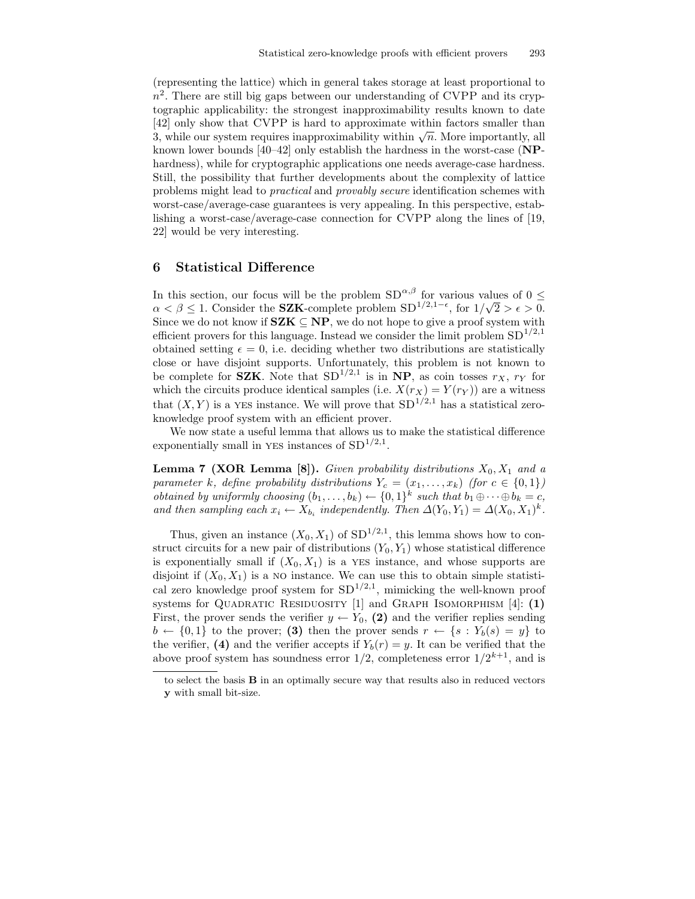(representing the lattice) which in general takes storage at least proportional to  $n<sup>2</sup>$ . There are still big gaps between our understanding of CVPP and its cryptographic applicability: the strongest inapproximability results known to date [42] only show that CVPP is hard to approximate within factors smaller than 3, while our system requires inapproximability within  $\sqrt{n}$ . More importantly, all known lower bounds [40–42] only establish the hardness in the worst-case (NPhardness), while for cryptographic applications one needs average-case hardness. Still, the possibility that further developments about the complexity of lattice problems might lead to practical and provably secure identification schemes with worst-case/average-case guarantees is very appealing. In this perspective, establishing a worst-case/average-case connection for CVPP along the lines of [19, 22] would be very interesting.

### 6 Statistical Difference

In this section, our focus will be the problem  $SD^{\alpha,\beta}$  for various values of  $0\leq$ a < β ≤ 1. Consider the **SZK**-complete problem  $SD^{1/2,1-\epsilon}$ , for  $1/\sqrt{2} > \epsilon > 0$ . Since we do not know if  $SZK \subseteq NP$ , we do not hope to give a proof system with efficient provers for this language. Instead we consider the limit problem  $SD^{1/2,1}$ obtained setting  $\epsilon = 0$ , i.e. deciding whether two distributions are statistically close or have disjoint supports. Unfortunately, this problem is not known to be complete for **SZK**. Note that  $SD^{1/2,1}$  is in NP, as coin tosses  $r_X$ ,  $r_Y$  for which the circuits produce identical samples (i.e.  $X(r_X) = Y(r_Y)$ ) are a witness that  $(X, Y)$  is a YES instance. We will prove that  $SD^{1/2,1}$  has a statistical zeroknowledge proof system with an efficient prover.

We now state a useful lemma that allows us to make the statistical difference exponentially small in YES instances of  $SD^{1/2,1}$ .

**Lemma 7 (XOR Lemma [8]).** Given probability distributions  $X_0, X_1$  and a parameter k, define probability distributions  $Y_c = (x_1, \ldots, x_k)$  (for  $c \in \{0,1\}$ ) obtained by uniformly choosing  $(b_1, \ldots, b_k) \leftarrow \{0, 1\}^k$  such that  $b_1 \oplus \cdots \oplus b_k = c$ , and then sampling each  $x_i \leftarrow X_{b_i}$  independently. Then  $\Delta(Y_0, Y_1) = \Delta(X_0, X_1)^k$ .

Thus, given an instance  $(X_0, X_1)$  of  $SD^{1/2,1}$ , this lemma shows how to construct circuits for a new pair of distributions  $(Y_0, Y_1)$  whose statistical difference is exponentially small if  $(X_0, X_1)$  is a YES instance, and whose supports are disjoint if  $(X_0, X_1)$  is a NO instance. We can use this to obtain simple statistical zero knowledge proof system for  $SD^{1/2,1}$ , mimicking the well-known proof systems for QUADRATIC RESIDUOSITY  $[1]$  and GRAPH ISOMORPHISM  $[4]$ : (1) First, the prover sends the verifier  $y \leftarrow Y_0$ , (2) and the verifier replies sending  $b \leftarrow \{0,1\}$  to the prover; (3) then the prover sends  $r \leftarrow \{s : Y_b(s) = y\}$  to the verifier, (4) and the verifier accepts if  $Y_b(r) = y$ . It can be verified that the above proof system has soundness error  $1/2$ , completeness error  $1/2^{k+1}$ , and is

to select the basis B in an optimally secure way that results also in reduced vectors y with small bit-size.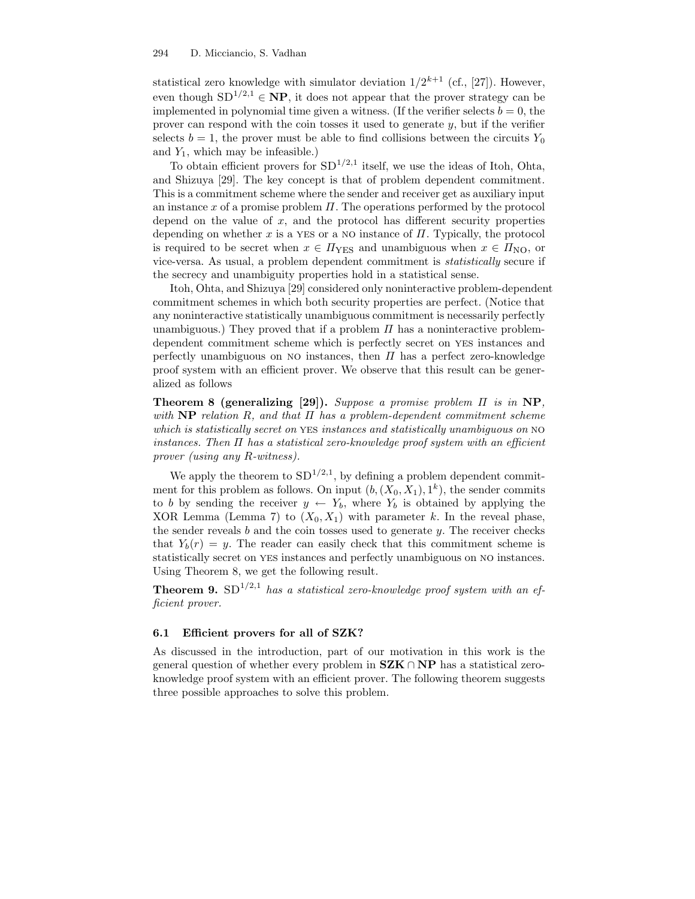statistical zero knowledge with simulator deviation  $1/2^{k+1}$  (cf., [27]). However, even though  $SD^{1/2,1} \in \mathbf{NP}$ , it does not appear that the prover strategy can be implemented in polynomial time given a witness. (If the verifier selects  $b = 0$ , the prover can respond with the coin tosses it used to generate  $y$ , but if the verifier selects  $b = 1$ , the prover must be able to find collisions between the circuits  $Y_0$ and  $Y_1$ , which may be infeasible.)

To obtain efficient provers for  $SD^{1/2,1}$  itself, we use the ideas of Itoh, Ohta, and Shizuya [29]. The key concept is that of problem dependent commitment. This is a commitment scheme where the sender and receiver get as auxiliary input an instance x of a promise problem  $\Pi$ . The operations performed by the protocol depend on the value of  $x$ , and the protocol has different security properties depending on whether x is a YES or a NO instance of  $\Pi$ . Typically, the protocol is required to be secret when  $x \in \Pi_{\text{YES}}$  and unambiguous when  $x \in \Pi_{\text{NO}}$ , or vice-versa. As usual, a problem dependent commitment is statistically secure if the secrecy and unambiguity properties hold in a statistical sense.

Itoh, Ohta, and Shizuya [29] considered only noninteractive problem-dependent commitment schemes in which both security properties are perfect. (Notice that any noninteractive statistically unambiguous commitment is necessarily perfectly unambiguous.) They proved that if a problem  $\Pi$  has a noninteractive problemdependent commitment scheme which is perfectly secret on yes instances and perfectly unambiguous on NO instances, then  $\Pi$  has a perfect zero-knowledge proof system with an efficient prover. We observe that this result can be generalized as follows

Theorem 8 (generalizing [29]). Suppose a promise problem Π is in NP, with  $\bf NP$  relation R, and that  $\Pi$  has a problem-dependent commitment scheme which is statistically secret on YES instances and statistically unambiguous on NO instances. Then  $\Pi$  has a statistical zero-knowledge proof system with an efficient prover (using any R-witness).

We apply the theorem to  $SD^{1/2,1}$ , by defining a problem dependent commitment for this problem as follows. On input  $(b, (X_0, X_1), 1^k)$ , the sender commits to b by sending the receiver  $y \leftarrow Y_b$ , where  $Y_b$  is obtained by applying the XOR Lemma (Lemma 7) to  $(X_0, X_1)$  with parameter k. In the reveal phase, the sender reveals  $b$  and the coin tosses used to generate  $y$ . The receiver checks that  $Y_b(r) = y$ . The reader can easily check that this commitment scheme is statistically secret on yes instances and perfectly unambiguous on no instances. Using Theorem 8, we get the following result.

**Theorem 9.** SD<sup>1/2,1</sup> has a statistical zero-knowledge proof system with an efficient prover.

### 6.1 Efficient provers for all of SZK?

As discussed in the introduction, part of our motivation in this work is the general question of whether every problem in  $SZK \cap NP$  has a statistical zeroknowledge proof system with an efficient prover. The following theorem suggests three possible approaches to solve this problem.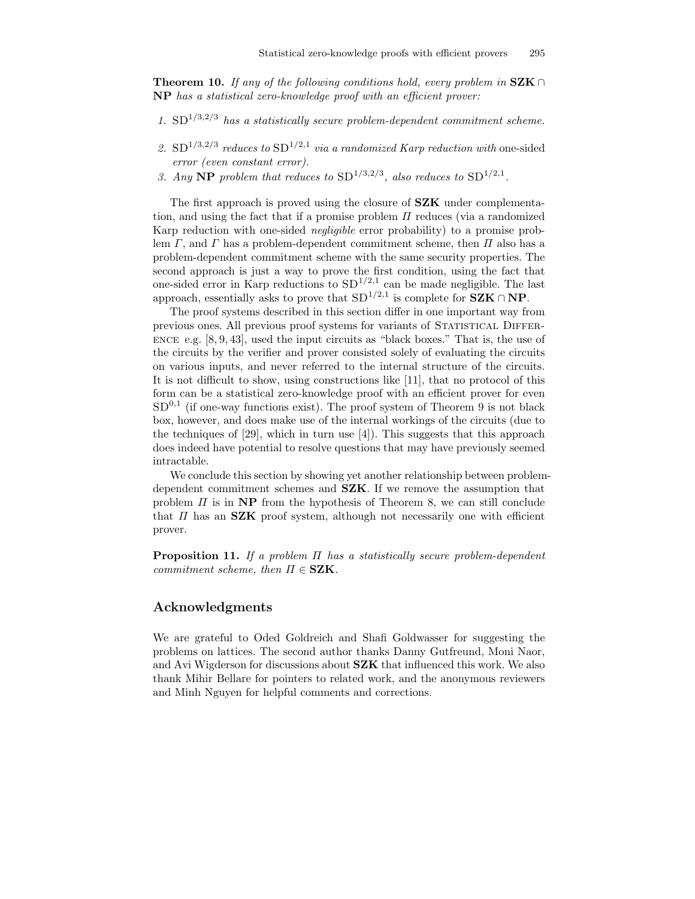**Theorem 10.** If any of the following conditions hold, every problem in  $SZK \cap$ NP has a statistical zero-knowledge proof with an efficient prover:

- 1.  $SD^{1/3,2/3}$  has a statistically secure problem-dependent commitment scheme.
- 2.  $SD^{1/3,2/3}$  reduces to  $SD^{1/2,1}$  via a randomized Karp reduction with one-sided error (even constant error).
- 3. Any NP problem that reduces to  $SD^{1/3,2/3}$ , also reduces to  $SD^{1/2,1}$ .

The first approach is proved using the closure of **SZK** under complementation, and using the fact that if a promise problem  $\Pi$  reduces (via a randomized Karp reduction with one-sided negligible error probability) to a promise problem  $\Gamma$ , and  $\Gamma$  has a problem-dependent commitment scheme, then  $\Pi$  also has a problem-dependent commitment scheme with the same security properties. The second approach is just a way to prove the first condition, using the fact that one-sided error in Karp reductions to  $SD^{1/2,1}$  can be made negligible. The last approach, essentially asks to prove that  $SD^{1/2,1}$  is complete for  $SZK \cap NP$ .

The proof systems described in this section differ in one important way from previous ones. All previous proof systems for variants of STATISTICAL DIFFER-ENCE e.g.  $[8, 9, 43]$ , used the input circuits as "black boxes." That is, the use of the circuits by the verifier and prover consisted solely of evaluating the circuits on various inputs, and never referred to the internal structure of the circuits. It is not difficult to show, using constructions like [11], that no protocol of this form can be a statistical zero-knowledge proof with an efficient prover for even  $SD<sup>0,1</sup>$  (if one-way functions exist). The proof system of Theorem 9 is not black box, however, and does make use of the internal workings of the circuits (due to the techniques of  $[29]$ , which in turn use  $[4]$ ). This suggests that this approach does indeed have potential to resolve questions that may have previously seemed intractable.

We conclude this section by showing yet another relationship between problemdependent commitment schemes and SZK. If we remove the assumption that problem  $\Pi$  is in NP from the hypothesis of Theorem 8, we can still conclude that  $\Pi$  has an **SZK** proof system, although not necessarily one with efficient prover.

**Proposition 11.** If a problem  $\Pi$  has a statistically secure problem-dependent commitment scheme, then  $\Pi \in \mathbf{SZK}$ .

### Acknowledgments

We are grateful to Oded Goldreich and Shafi Goldwasser for suggesting the problems on lattices. The second author thanks Danny Gutfreund, Moni Naor, and Avi Wigderson for discussions about SZK that influenced this work. We also thank Mihir Bellare for pointers to related work, and the anonymous reviewers and Minh Nguyen for helpful comments and corrections.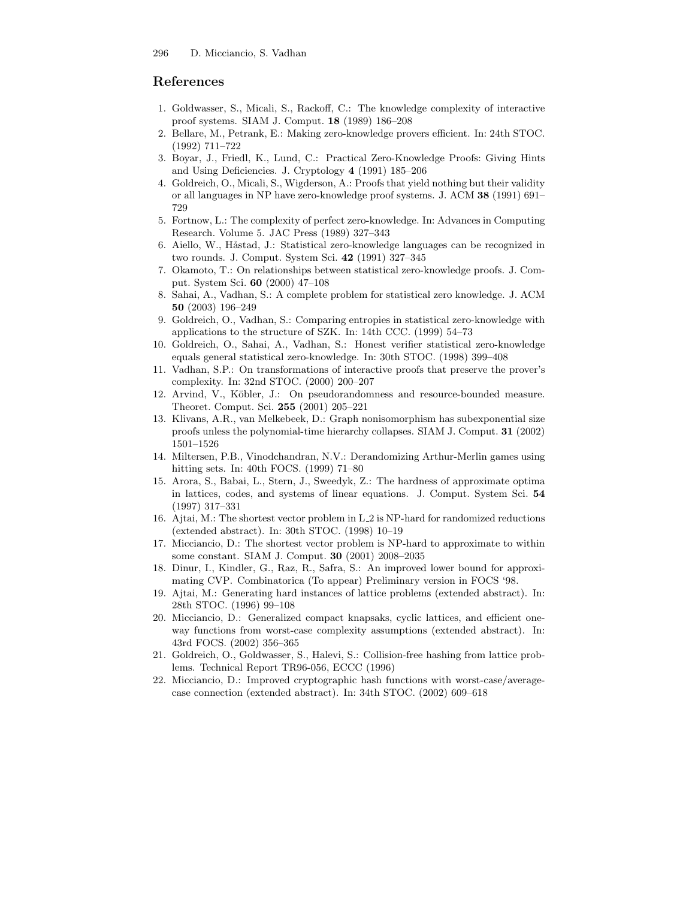# References

- 1. Goldwasser, S., Micali, S., Rackoff, C.: The knowledge complexity of interactive proof systems. SIAM J. Comput. 18 (1989) 186–208
- 2. Bellare, M., Petrank, E.: Making zero-knowledge provers efficient. In: 24th STOC. (1992) 711–722
- 3. Boyar, J., Friedl, K., Lund, C.: Practical Zero-Knowledge Proofs: Giving Hints and Using Deficiencies. J. Cryptology 4 (1991) 185–206
- 4. Goldreich, O., Micali, S., Wigderson, A.: Proofs that yield nothing but their validity or all languages in NP have zero-knowledge proof systems. J. ACM 38 (1991) 691– 729
- 5. Fortnow, L.: The complexity of perfect zero-knowledge. In: Advances in Computing Research. Volume 5. JAC Press (1989) 327–343
- 6. Aiello, W., Håstad, J.: Statistical zero-knowledge languages can be recognized in two rounds. J. Comput. System Sci. 42 (1991) 327–345
- 7. Okamoto, T.: On relationships between statistical zero-knowledge proofs. J. Comput. System Sci. 60 (2000) 47–108
- 8. Sahai, A., Vadhan, S.: A complete problem for statistical zero knowledge. J. ACM 50 (2003) 196–249
- 9. Goldreich, O., Vadhan, S.: Comparing entropies in statistical zero-knowledge with applications to the structure of SZK. In: 14th CCC. (1999) 54–73
- 10. Goldreich, O., Sahai, A., Vadhan, S.: Honest verifier statistical zero-knowledge equals general statistical zero-knowledge. In: 30th STOC. (1998) 399–408
- 11. Vadhan, S.P.: On transformations of interactive proofs that preserve the prover's complexity. In: 32nd STOC. (2000) 200–207
- 12. Arvind, V., Köbler, J.: On pseudorandomness and resource-bounded measure. Theoret. Comput. Sci. 255 (2001) 205–221
- 13. Klivans, A.R., van Melkebeek, D.: Graph nonisomorphism has subexponential size proofs unless the polynomial-time hierarchy collapses. SIAM J. Comput. 31 (2002) 1501–1526
- 14. Miltersen, P.B., Vinodchandran, N.V.: Derandomizing Arthur-Merlin games using hitting sets. In: 40th FOCS. (1999) 71–80
- 15. Arora, S., Babai, L., Stern, J., Sweedyk, Z.: The hardness of approximate optima in lattices, codes, and systems of linear equations. J. Comput. System Sci. 54 (1997) 317–331
- 16. Ajtai, M.: The shortest vector problem in L 2 is NP-hard for randomized reductions (extended abstract). In: 30th STOC. (1998) 10–19
- 17. Micciancio, D.: The shortest vector problem is NP-hard to approximate to within some constant. SIAM J. Comput. 30 (2001) 2008–2035
- 18. Dinur, I., Kindler, G., Raz, R., Safra, S.: An improved lower bound for approximating CVP. Combinatorica (To appear) Preliminary version in FOCS '98.
- 19. Ajtai, M.: Generating hard instances of lattice problems (extended abstract). In: 28th STOC. (1996) 99–108
- 20. Micciancio, D.: Generalized compact knapsaks, cyclic lattices, and efficient oneway functions from worst-case complexity assumptions (extended abstract). In: 43rd FOCS. (2002) 356–365
- 21. Goldreich, O., Goldwasser, S., Halevi, S.: Collision-free hashing from lattice problems. Technical Report TR96-056, ECCC (1996)
- 22. Micciancio, D.: Improved cryptographic hash functions with worst-case/averagecase connection (extended abstract). In: 34th STOC. (2002) 609–618